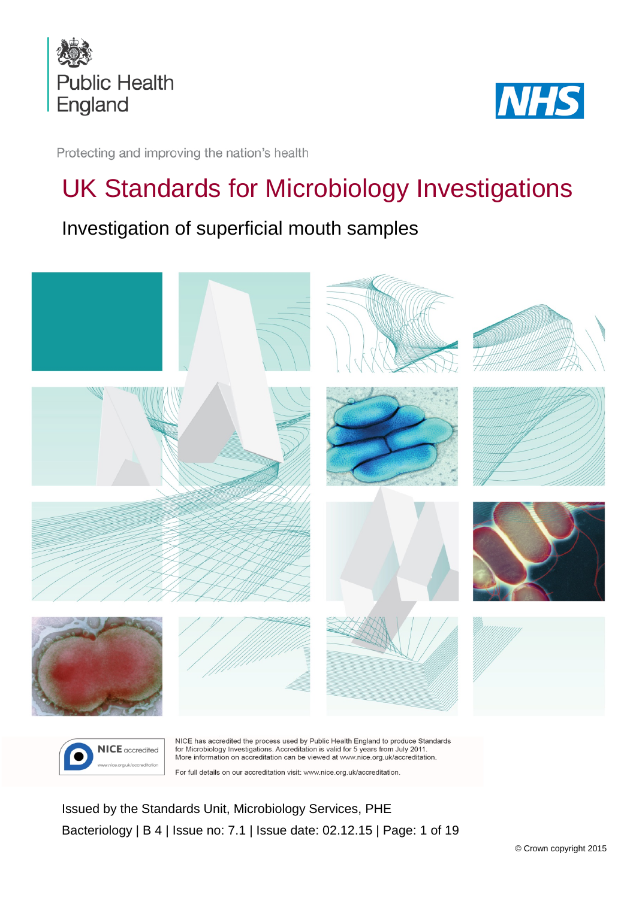



Protecting and improving the nation's health

# UK Standards for Microbiology Investigations

Investigation of superficial mouth samples



For full details on our accreditation visit: www.nice.org.uk/accreditation.

<span id="page-0-0"></span>Issued by the Standards Unit, Microbiology Services, PHE Bacteriology | B 4 | Issue no: 7.1 | Issue date: 02.12.15 | Page: 1 of 19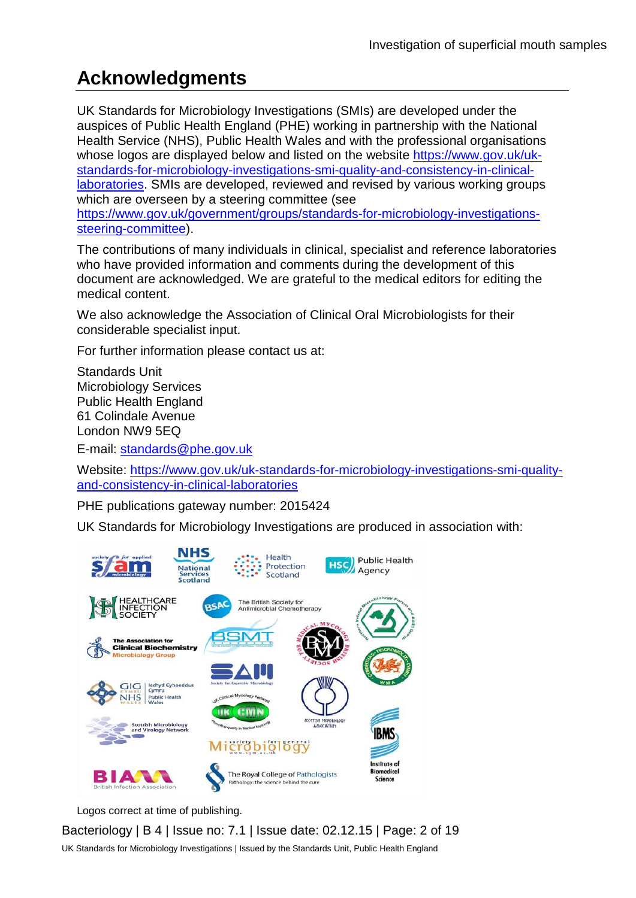## **Acknowledgments**

UK Standards for Microbiology Investigations (SMIs) are developed under the auspices of Public Health England (PHE) working in partnership with the National Health Service (NHS), Public Health Wales and with the professional organisations whose logos are displayed below and listed on the website [https://www.gov.uk/uk](https://www.gov.uk/uk-standards-for-microbiology-investigations-smi-quality-and-consistency-in-clinical-laboratories)[standards-for-microbiology-investigations-smi-quality-and-consistency-in-clinical](https://www.gov.uk/uk-standards-for-microbiology-investigations-smi-quality-and-consistency-in-clinical-laboratories)[laboratories.](https://www.gov.uk/uk-standards-for-microbiology-investigations-smi-quality-and-consistency-in-clinical-laboratories) SMIs are developed, reviewed and revised by various working groups which are overseen by a steering committee (see [https://www.gov.uk/government/groups/standards-for-microbiology-investigations](https://www.gov.uk/government/groups/standards-for-microbiology-investigations-steering-committee)[steering-committee\)](https://www.gov.uk/government/groups/standards-for-microbiology-investigations-steering-committee).

The contributions of many individuals in clinical, specialist and reference laboratories who have provided information and comments during the development of this document are acknowledged. We are grateful to the medical editors for editing the medical content.

We also acknowledge the Association of Clinical Oral Microbiologists for their considerable specialist input.

For further information please contact us at:

Standards Unit Microbiology Services Public Health England 61 Colindale Avenue London NW9 5EQ

E-mail: [standards@phe.gov.uk](mailto:standards@phe.gov.uk)

Website: [https://www.gov.uk/uk-standards-for-microbiology-investigations-smi-quality](https://www.gov.uk/uk-standards-for-microbiology-investigations-smi-quality-and-consistency-in-clinical-laboratories)[and-consistency-in-clinical-laboratories](https://www.gov.uk/uk-standards-for-microbiology-investigations-smi-quality-and-consistency-in-clinical-laboratories)

PHE publications gateway number: 2015424

UK Standards for Microbiology Investigations are produced in association with:



Logos correct at time of publishing.

Bacteriology | B 4 | Issue no: 7.1 | Issue date: 02.12.15 | Page: 2 of 19 UK Standards for Microbiology Investigations | Issued by the Standards Unit, Public Health England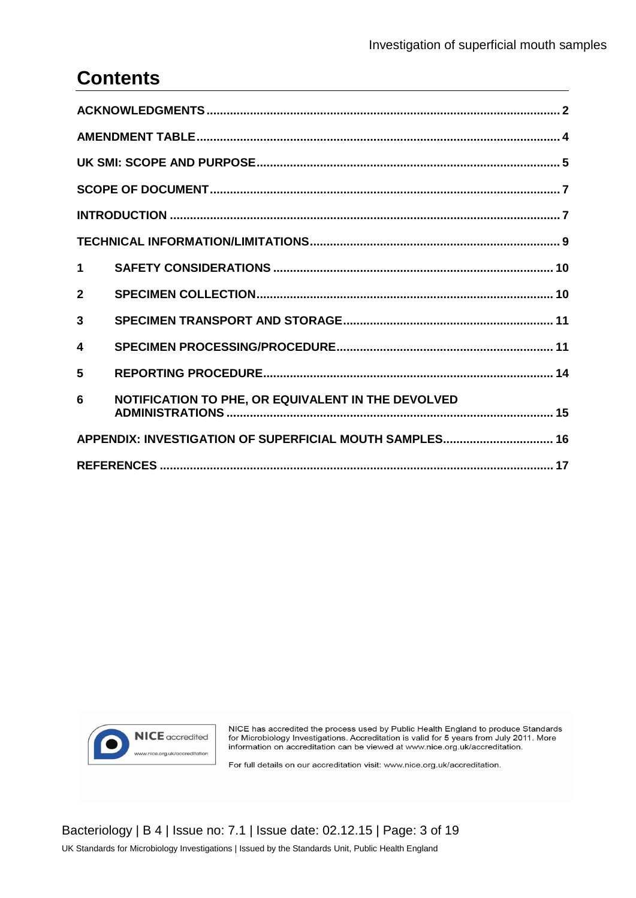## **Contents**

| $\blacktriangleleft$ |                                                    |  |  |
|----------------------|----------------------------------------------------|--|--|
| $\mathbf{2}$         |                                                    |  |  |
| 3                    |                                                    |  |  |
| 4                    |                                                    |  |  |
| 5                    |                                                    |  |  |
| 6                    | NOTIFICATION TO PHE, OR EQUIVALENT IN THE DEVOLVED |  |  |
|                      |                                                    |  |  |
|                      |                                                    |  |  |



NICE has accredited the process used by Public Health England to produce Standards For Microbiology Investigations. Accreditation is valid for 5 years from July 2011. More<br>information on accreditation can be viewed at www.nice.org.uk/accreditation.

For full details on our accreditation visit: www.nice.org.uk/accreditation.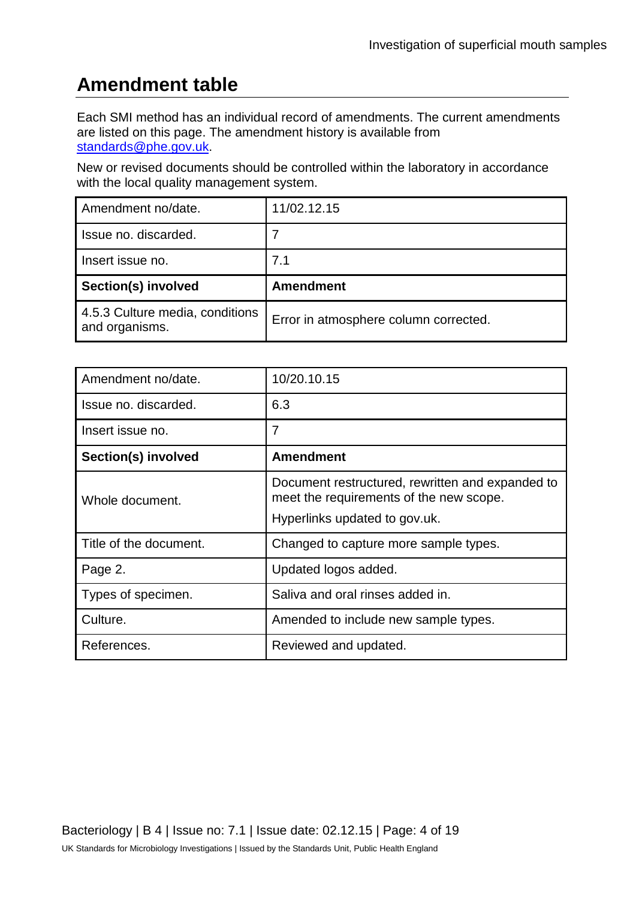## **Amendment table**

Each SMI method has an individual record of amendments. The current amendments are listed on this page. The amendment history is available from [standards@phe.gov.uk.](mailto:standards@phe.gov.uk)

New or revised documents should be controlled within the laboratory in accordance with the local quality management system.

| Amendment no/date.                                | 11/02.12.15                           |
|---------------------------------------------------|---------------------------------------|
| Issue no. discarded.                              |                                       |
| Insert issue no.                                  | 7.1                                   |
| Section(s) involved                               | <b>Amendment</b>                      |
| 4.5.3 Culture media, conditions<br>and organisms. | Error in atmosphere column corrected. |

| Amendment no/date.     | 10/20.10.15                                                                                 |  |  |  |
|------------------------|---------------------------------------------------------------------------------------------|--|--|--|
| Issue no. discarded.   | 6.3                                                                                         |  |  |  |
| Insert issue no.       | $\overline{7}$                                                                              |  |  |  |
| Section(s) involved    | <b>Amendment</b>                                                                            |  |  |  |
| Whole document.        | Document restructured, rewritten and expanded to<br>meet the requirements of the new scope. |  |  |  |
|                        | Hyperlinks updated to gov.uk.                                                               |  |  |  |
| Title of the document. | Changed to capture more sample types.                                                       |  |  |  |
| Page 2.                | Updated logos added.                                                                        |  |  |  |
| Types of specimen.     | Saliva and oral rinses added in.                                                            |  |  |  |
| Culture.               | Amended to include new sample types.                                                        |  |  |  |
| References.            | Reviewed and updated.                                                                       |  |  |  |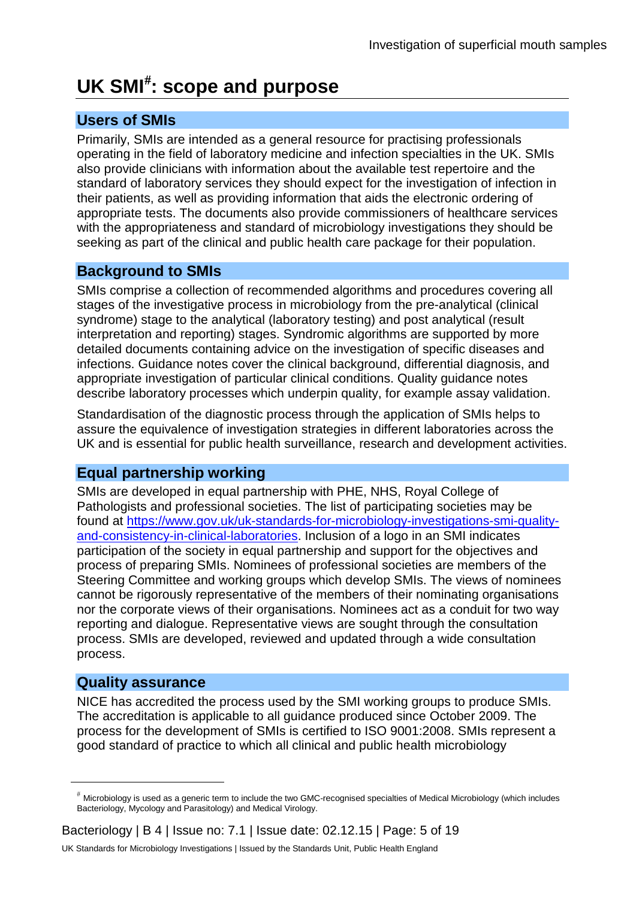## **UK SMI**[#](#page-0-0) **: scope and purpose**

#### **Users of SMIs**

Primarily, SMIs are intended as a general resource for practising professionals operating in the field of laboratory medicine and infection specialties in the UK. SMIs also provide clinicians with information about the available test repertoire and the standard of laboratory services they should expect for the investigation of infection in their patients, as well as providing information that aids the electronic ordering of appropriate tests. The documents also provide commissioners of healthcare services with the appropriateness and standard of microbiology investigations they should be seeking as part of the clinical and public health care package for their population.

#### **Background to SMIs**

SMIs comprise a collection of recommended algorithms and procedures covering all stages of the investigative process in microbiology from the pre-analytical (clinical syndrome) stage to the analytical (laboratory testing) and post analytical (result interpretation and reporting) stages. Syndromic algorithms are supported by more detailed documents containing advice on the investigation of specific diseases and infections. Guidance notes cover the clinical background, differential diagnosis, and appropriate investigation of particular clinical conditions. Quality guidance notes describe laboratory processes which underpin quality, for example assay validation.

Standardisation of the diagnostic process through the application of SMIs helps to assure the equivalence of investigation strategies in different laboratories across the UK and is essential for public health surveillance, research and development activities.

### **Equal partnership working**

SMIs are developed in equal partnership with PHE, NHS, Royal College of Pathologists and professional societies. The list of participating societies may be found at [https://www.gov.uk/uk-standards-for-microbiology-investigations-smi-quality](https://www.gov.uk/uk-standards-for-microbiology-investigations-smi-quality-and-consistency-in-clinical-laboratories)[and-consistency-in-clinical-laboratories.](https://www.gov.uk/uk-standards-for-microbiology-investigations-smi-quality-and-consistency-in-clinical-laboratories) Inclusion of a logo in an SMI indicates participation of the society in equal partnership and support for the objectives and process of preparing SMIs. Nominees of professional societies are members of the Steering Committee and working groups which develop SMIs. The views of nominees cannot be rigorously representative of the members of their nominating organisations nor the corporate views of their organisations. Nominees act as a conduit for two way reporting and dialogue. Representative views are sought through the consultation process. SMIs are developed, reviewed and updated through a wide consultation process.

#### **Quality assurance**

 $\overline{a}$ 

NICE has accredited the process used by the SMI working groups to produce SMIs. The accreditation is applicable to all guidance produced since October 2009. The process for the development of SMIs is certified to ISO 9001:2008. SMIs represent a good standard of practice to which all clinical and public health microbiology

<sup>#</sup> Microbiology is used as a generic term to include the two GMC-recognised specialties of Medical Microbiology (which includes Bacteriology, Mycology and Parasitology) and Medical Virology.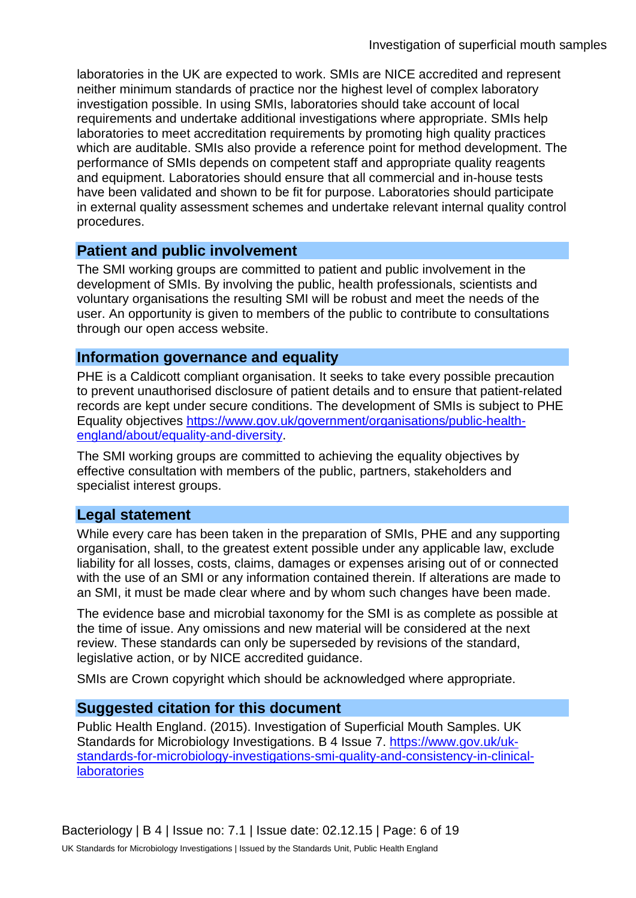laboratories in the UK are expected to work. SMIs are NICE accredited and represent neither minimum standards of practice nor the highest level of complex laboratory investigation possible. In using SMIs, laboratories should take account of local requirements and undertake additional investigations where appropriate. SMIs help laboratories to meet accreditation requirements by promoting high quality practices which are auditable. SMIs also provide a reference point for method development. The performance of SMIs depends on competent staff and appropriate quality reagents and equipment. Laboratories should ensure that all commercial and in-house tests have been validated and shown to be fit for purpose. Laboratories should participate in external quality assessment schemes and undertake relevant internal quality control procedures.

#### **Patient and public involvement**

The SMI working groups are committed to patient and public involvement in the development of SMIs. By involving the public, health professionals, scientists and voluntary organisations the resulting SMI will be robust and meet the needs of the user. An opportunity is given to members of the public to contribute to consultations through our open access website.

#### **Information governance and equality**

PHE is a Caldicott compliant organisation. It seeks to take every possible precaution to prevent unauthorised disclosure of patient details and to ensure that patient-related records are kept under secure conditions. The development of SMIs is subject to PHE Equality objectives [https://www.gov.uk/government/organisations/public-health](https://www.gov.uk/government/organisations/public-health-england/about/equality-and-diversity)[england/about/equality-and-diversity.](https://www.gov.uk/government/organisations/public-health-england/about/equality-and-diversity)

The SMI working groups are committed to achieving the equality objectives by effective consultation with members of the public, partners, stakeholders and specialist interest groups.

#### **Legal statement**

While every care has been taken in the preparation of SMIs, PHE and any supporting organisation, shall, to the greatest extent possible under any applicable law, exclude liability for all losses, costs, claims, damages or expenses arising out of or connected with the use of an SMI or any information contained therein. If alterations are made to an SMI, it must be made clear where and by whom such changes have been made.

The evidence base and microbial taxonomy for the SMI is as complete as possible at the time of issue. Any omissions and new material will be considered at the next review. These standards can only be superseded by revisions of the standard, legislative action, or by NICE accredited guidance.

SMIs are Crown copyright which should be acknowledged where appropriate.

#### **Suggested citation for this document**

Public Health England. (2015). Investigation of Superficial Mouth Samples. UK Standards for Microbiology Investigations. B 4 Issue 7. [https://www.gov.uk/uk](https://www.gov.uk/uk-standards-for-microbiology-investigations-smi-quality-and-consistency-in-clinical-laboratories)[standards-for-microbiology-investigations-smi-quality-and-consistency-in-clinical](https://www.gov.uk/uk-standards-for-microbiology-investigations-smi-quality-and-consistency-in-clinical-laboratories)**[laboratories](https://www.gov.uk/uk-standards-for-microbiology-investigations-smi-quality-and-consistency-in-clinical-laboratories)**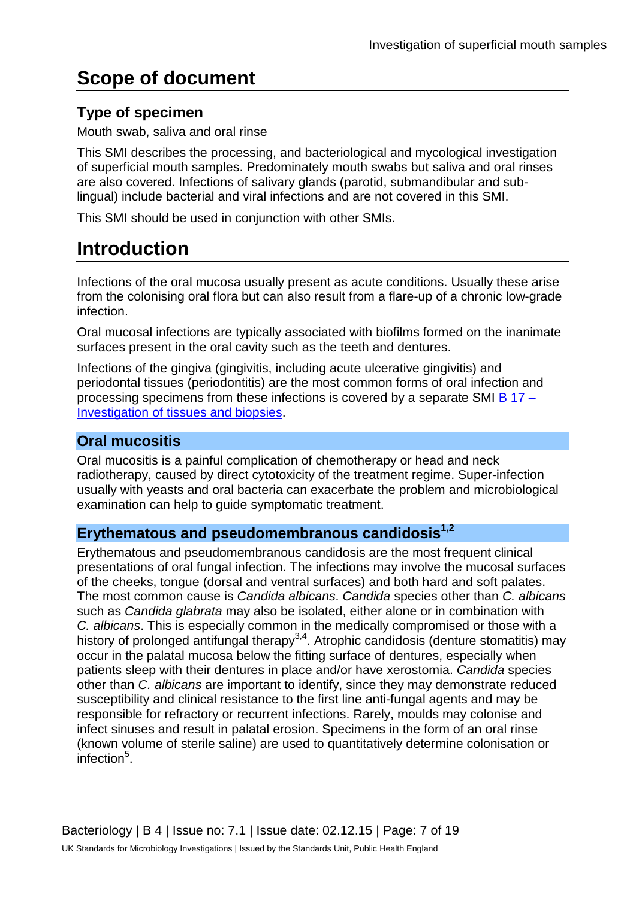## **Scope of document**

### **Type of specimen**

Mouth swab, saliva and oral rinse

This SMI describes the processing, and bacteriological and mycological investigation of superficial mouth samples. Predominately mouth swabs but saliva and oral rinses are also covered. Infections of salivary glands (parotid, submandibular and sublingual) include bacterial and viral infections and are not covered in this SMI.

This SMI should be used in conjunction with other SMIs.

## **Introduction**

Infections of the oral mucosa usually present as acute conditions. Usually these arise from the colonising oral flora but can also result from a flare-up of a chronic low-grade infection.

Oral mucosal infections are typically associated with biofilms formed on the inanimate surfaces present in the oral cavity such as the teeth and dentures.

Infections of the gingiva (gingivitis, including acute ulcerative gingivitis) and periodontal tissues (periodontitis) are the most common forms of oral infection and processing specimens from these infections is covered by a separate SMI B  $17 -$ [Investigation of tissues and biopsies.](https://www.gov.uk/government/collections/standards-for-microbiology-investigations-smi#bacteriology)

#### **Oral mucositis**

Oral mucositis is a painful complication of chemotherapy or head and neck radiotherapy, caused by direct cytotoxicity of the treatment regime. Super-infection usually with yeasts and oral bacteria can exacerbate the problem and microbiological examination can help to guide symptomatic treatment.

#### Erythematous and pseudomembranous candidosis<sup>1,2</sup>

Erythematous and pseudomembranous candidosis are the most frequent clinical presentations of oral fungal infection. The infections may involve the mucosal surfaces of the cheeks, tongue (dorsal and ventral surfaces) and both hard and soft palates. The most common cause is *Candida albicans*. *Candida* species other than *C. albicans* such as *Candida glabrata* may also be isolated, either alone or in combination with *C. albicans*. This is especially common in the medically compromised or those with a history of prolonged antifungal therapy<sup>3,4</sup>. Atrophic candidosis (denture stomatitis) may occur in the palatal mucosa below the fitting surface of dentures, especially when patients sleep with their dentures in place and/or have xerostomia. *Candida* species other than *C. albicans* are important to identify, since they may demonstrate reduced susceptibility and clinical resistance to the first line anti-fungal agents and may be responsible for refractory or recurrent infections. Rarely, moulds may colonise and infect sinuses and result in palatal erosion. Specimens in the form of an oral rinse (known volume of sterile saline) are used to quantitatively determine colonisation or infection<sup>5</sup>.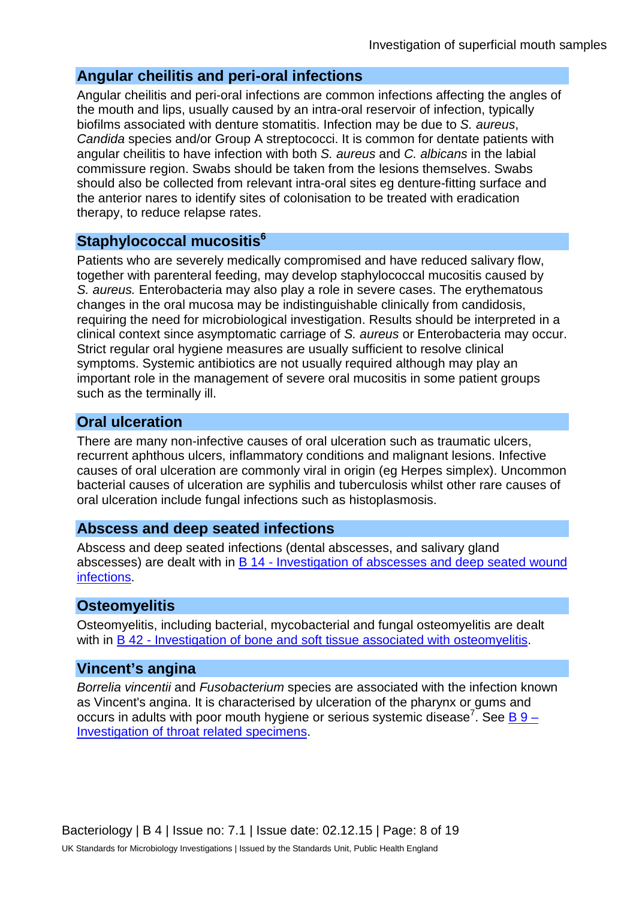#### **Angular cheilitis and peri-oral infections**

Angular cheilitis and peri-oral infections are common infections affecting the angles of the mouth and lips, usually caused by an intra-oral reservoir of infection, typically biofilms associated with denture stomatitis. Infection may be due to *S. aureus*, *Candida* species and/or Group A streptococci. It is common for dentate patients with angular cheilitis to have infection with both *S. aureus* and *C. albicans* in the labial commissure region. Swabs should be taken from the lesions themselves. Swabs should also be collected from relevant intra-oral sites eg denture-fitting surface and the anterior nares to identify sites of colonisation to be treated with eradication therapy, to reduce relapse rates.

#### **Staphylococcal mucositis6**

Patients who are severely medically compromised and have reduced salivary flow, together with parenteral feeding, may develop staphylococcal mucositis caused by *S. aureus.* Enterobacteria may also play a role in severe cases. The erythematous changes in the oral mucosa may be indistinguishable clinically from candidosis, requiring the need for microbiological investigation. Results should be interpreted in a clinical context since asymptomatic carriage of *S. aureus* or Enterobacteria may occur. Strict regular oral hygiene measures are usually sufficient to resolve clinical symptoms. Systemic antibiotics are not usually required although may play an important role in the management of severe oral mucositis in some patient groups such as the terminally ill.

#### **Oral ulceration**

There are many non-infective causes of oral ulceration such as traumatic ulcers, recurrent aphthous ulcers, inflammatory conditions and malignant lesions. Infective causes of oral ulceration are commonly viral in origin (eg Herpes simplex). Uncommon bacterial causes of ulceration are syphilis and tuberculosis whilst other rare causes of oral ulceration include fungal infections such as histoplasmosis.

#### **Abscess and deep seated infections**

Abscess and deep seated infections (dental abscesses, and salivary gland abscesses) are dealt with in B 14 - [Investigation of abscesses and deep](https://www.gov.uk/government/collections/standards-for-microbiology-investigations-smi#bacteriology) seated wound [infections.](https://www.gov.uk/government/collections/standards-for-microbiology-investigations-smi#bacteriology)

#### **Osteomyelitis**

Osteomyelitis, including bacterial, mycobacterial and fungal osteomyelitis are dealt with in B 42 - [Investigation of bone and soft tissue associated with osteomyelitis.](https://www.gov.uk/government/collections/standards-for-microbiology-investigations-smi#bacteriology)

#### **Vincent's angina**

*Borrelia vincentii* and *Fusobacterium* species are associated with the infection known as Vincent's angina. It is characterised by ulceration of the pharynx or gums and occurs in adults with poor mouth hygiene or serious systemic disease<sup>7</sup>. See B 9 -[Investigation of throat related specimens.](https://www.gov.uk/government/collections/standards-for-microbiology-investigations-smi#bacteriology)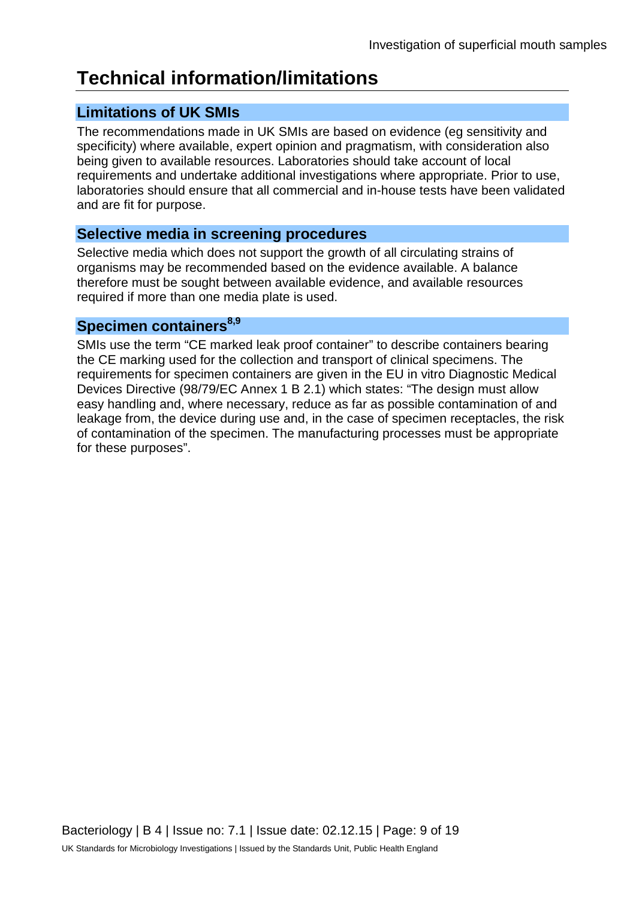## **Technical information/limitations**

### **Limitations of UK SMIs**

The recommendations made in UK SMIs are based on evidence (eg sensitivity and specificity) where available, expert opinion and pragmatism, with consideration also being given to available resources. Laboratories should take account of local requirements and undertake additional investigations where appropriate. Prior to use, laboratories should ensure that all commercial and in-house tests have been validated and are fit for purpose.

### **Selective media in screening procedures**

Selective media which does not support the growth of all circulating strains of organisms may be recommended based on the evidence available. A balance therefore must be sought between available evidence, and available resources required if more than one media plate is used.

#### **Specimen containers8,9**

SMIs use the term "CE marked leak proof container" to describe containers bearing the CE marking used for the collection and transport of clinical specimens. The requirements for specimen containers are given in the EU in vitro Diagnostic Medical Devices Directive (98/79/EC Annex 1 B 2.1) which states: "The design must allow easy handling and, where necessary, reduce as far as possible contamination of and leakage from, the device during use and, in the case of specimen receptacles, the risk of contamination of the specimen. The manufacturing processes must be appropriate for these purposes".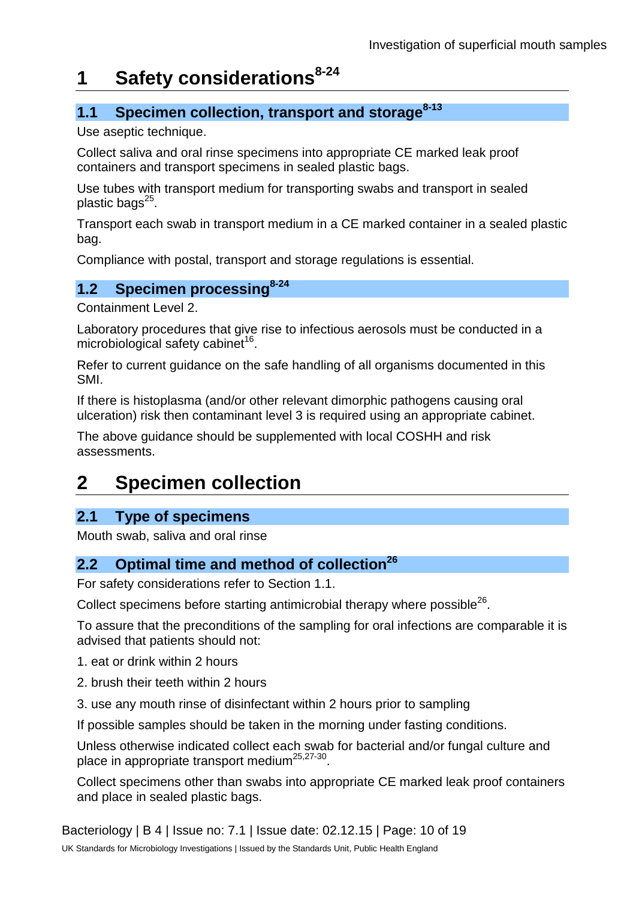## **1 Safety considerations8-24**

### **1.1 Specimen collection, transport and storage<sup>8-13</sup>**

Use aseptic technique.

Collect saliva and oral rinse specimens into appropriate CE marked leak proof containers and transport specimens in sealed plastic bags.

Use tubes with transport medium for transporting swabs and transport in sealed plastic bags $^{25}$ .

Transport each swab in transport medium in a CE marked container in a sealed plastic bag.

Compliance with postal, transport and storage regulations is essential.

### **1.2 Specimen processing8-24**

Containment Level 2.

Laboratory procedures that give rise to infectious aerosols must be conducted in a microbiological safety cabinet<sup>16</sup>.

Refer to current guidance on the safe handling of all organisms documented in this SMI.

If there is histoplasma (and/or other relevant dimorphic pathogens causing oral ulceration) risk then contaminant level 3 is required using an appropriate cabinet.

The above guidance should be supplemented with local COSHH and risk assessments.

## **2 Specimen collection**

### **2.1 Type of specimens**

Mouth swab, saliva and oral rinse

#### **2.2 Optimal time and method of collection**<sup>26</sup>

For safety considerations refer to Section 1.1.

Collect specimens before starting antimicrobial therapy where possible<sup>26</sup>.

To assure that the preconditions of the sampling for oral infections are comparable it is advised that patients should not:

- 1. eat or drink within 2 hours
- 2. brush their teeth within 2 hours
- 3. use any mouth rinse of disinfectant within 2 hours prior to sampling

If possible samples should be taken in the morning under fasting conditions.

Unless otherwise indicated collect each swab for bacterial and/or fungal culture and place in appropriate transport medium<sup>25,27-30</sup>.

Collect specimens other than swabs into appropriate CE marked leak proof containers and place in sealed plastic bags.

Bacteriology | B 4 | Issue no: 7.1 | Issue date: 02.12.15 | Page: 10 of 19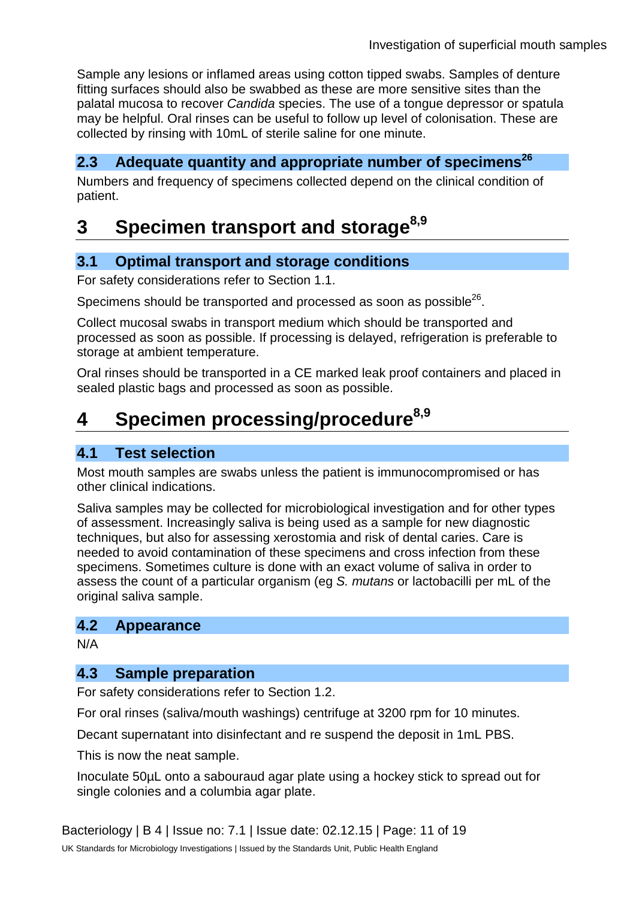Sample any lesions or inflamed areas using cotton tipped swabs. Samples of denture fitting surfaces should also be swabbed as these are more sensitive sites than the palatal mucosa to recover *Candida* species. The use of a tongue depressor or spatula may be helpful. Oral rinses can be useful to follow up level of colonisation. These are collected by rinsing with 10mL of sterile saline for one minute.

#### **2.3** Adequate quantity and appropriate number of specimens<sup>26</sup>

Numbers and frequency of specimens collected depend on the clinical condition of patient.

## **3 Specimen transport and storage**<sup>8,9</sup>

#### **3.1 Optimal transport and storage conditions**

For safety considerations refer to Section 1.1.

Specimens should be transported and processed as soon as possible<sup>26</sup>.

Collect mucosal swabs in transport medium which should be transported and processed as soon as possible. If processing is delayed, refrigeration is preferable to storage at ambient temperature.

Oral rinses should be transported in a CE marked leak proof containers and placed in sealed plastic bags and processed as soon as possible.

## **4 Specimen processing/procedure**<sup>8,9</sup>

#### **4.1 Test selection**

Most mouth samples are swabs unless the patient is immunocompromised or has other clinical indications.

Saliva samples may be collected for microbiological investigation and for other types of assessment. Increasingly saliva is being used as a sample for new diagnostic techniques, but also for assessing xerostomia and risk of dental caries. Care is needed to avoid contamination of these specimens and cross infection from these specimens. Sometimes culture is done with an exact volume of saliva in order to assess the count of a particular organism (eg *S. mutans* or lactobacilli per mL of the original saliva sample.

#### **4.2 Appearance**

N/A

#### **4.3 Sample preparation**

For safety considerations refer to Section 1.2.

For oral rinses (saliva/mouth washings) centrifuge at 3200 rpm for 10 minutes.

Decant supernatant into disinfectant and re suspend the deposit in 1mL PBS.

This is now the neat sample.

Inoculate 50µL onto a sabouraud agar plate using a hockey stick to spread out for single colonies and a columbia agar plate.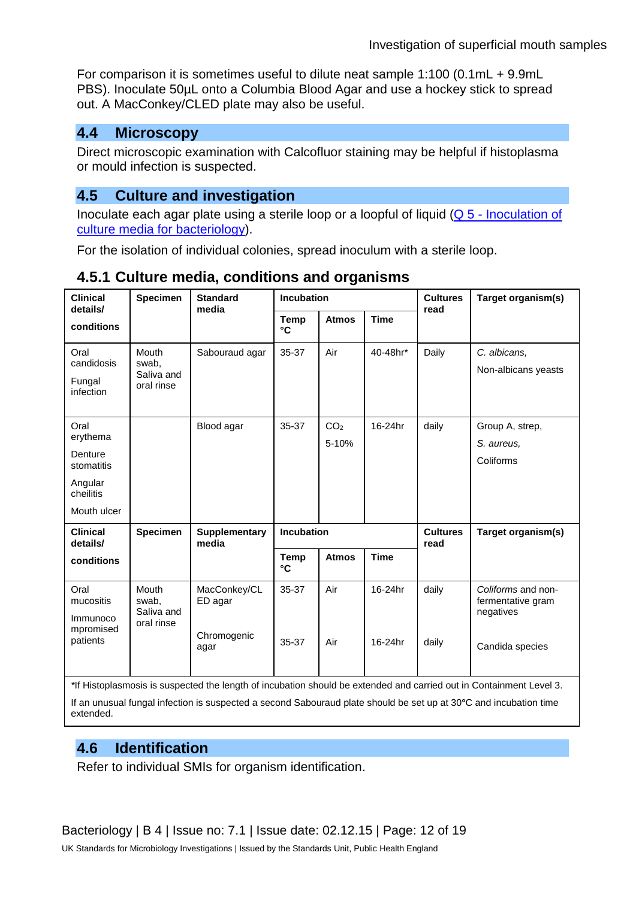For comparison it is sometimes useful to dilute neat sample 1:100 (0.1mL + 9.9mL PBS). Inoculate 50µL onto a Columbia Blood Agar and use a hockey stick to spread out. A MacConkey/CLED plate may also be useful.

#### **4.4 Microscopy**

Direct microscopic examination with Calcofluor staining may be helpful if histoplasma or mould infection is suspected.

### **4.5 Culture and investigation**

Inoculate each agar plate using a sterile loop or a loopful of liquid (Q 5 - [Inoculation of](https://www.gov.uk/government/collections/standards-for-microbiology-investigations-smi#quality-related-guidance)  culture media [for bacteriology\)](https://www.gov.uk/government/collections/standards-for-microbiology-investigations-smi#quality-related-guidance).

For the isolation of individual colonies, spread inoculum with a sterile loop.

| <b>Clinical</b><br>details/                                                      | <b>Specimen</b>                            | <b>Standard</b><br>media                       | <b>Incubation</b>           |                          |                         | <b>Cultures</b><br>read | Target organism(s)                                                      |
|----------------------------------------------------------------------------------|--------------------------------------------|------------------------------------------------|-----------------------------|--------------------------|-------------------------|-------------------------|-------------------------------------------------------------------------|
| conditions                                                                       |                                            |                                                | <b>Temp</b><br>$\mathbf{C}$ | <b>Atmos</b>             | <b>Time</b>             |                         |                                                                         |
| Oral<br>candidosis<br>Fungal<br>infection                                        | Mouth<br>swab,<br>Saliva and<br>oral rinse | Sabouraud agar                                 | 35-37                       | Air                      | 40-48hr*                | Daily                   | C. albicans,<br>Non-albicans yeasts                                     |
| Oral<br>erythema<br>Denture<br>stomatitis<br>Angular<br>cheilitis<br>Mouth ulcer |                                            | Blood agar                                     | 35-37                       | CO <sub>2</sub><br>5-10% | 16-24hr                 | daily                   | Group A, strep,<br>S. aureus,<br>Coliforms                              |
| <b>Clinical</b><br>details/                                                      | <b>Specimen</b>                            | <b>Supplementary</b><br>media                  | <b>Incubation</b>           |                          | <b>Cultures</b><br>read | Target organism(s)      |                                                                         |
| conditions                                                                       |                                            |                                                | <b>Temp</b><br>°C           | <b>Atmos</b>             | <b>Time</b>             |                         |                                                                         |
| Oral<br>mucositis<br>Immunoco<br>mpromised<br>patients                           | Mouth<br>swab,<br>Saliva and<br>oral rinse | MacConkey/CL<br>ED agar<br>Chromogenic<br>agar | 35-37<br>35-37              | Air<br>Air               | 16-24hr<br>16-24hr      | daily<br>daily          | Coliforms and non-<br>fermentative gram<br>negatives<br>Candida species |

### **4.5.1 Culture media, conditions and organisms**

*\**If Histoplasmosis is suspected the length of incubation should be extended and carried out in Containment Level 3.

If an unusual fungal infection is suspected a second Sabouraud plate should be set up at 30**°**C and incubation time extended.

### **4.6 Identification**

Refer to individual SMIs for organism identification.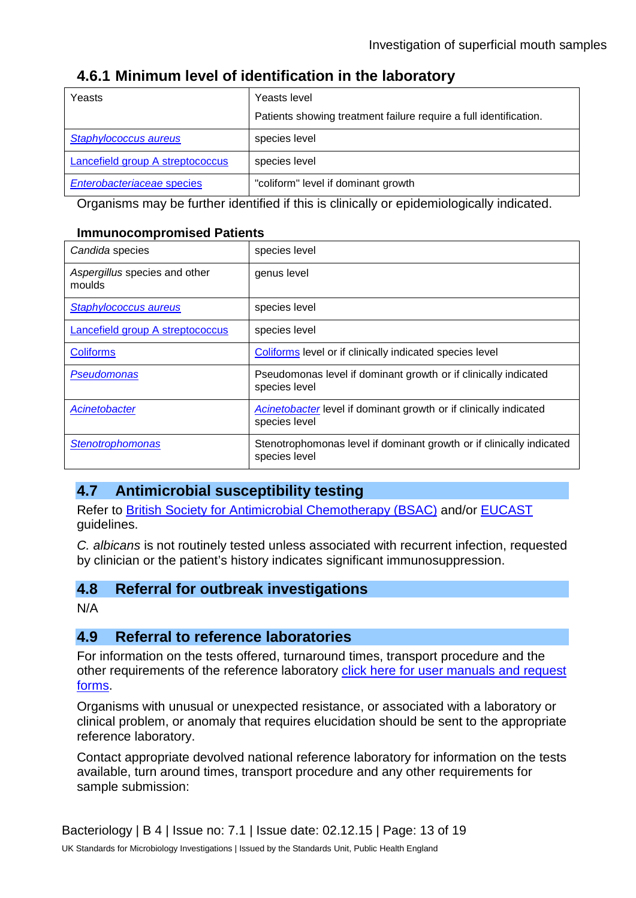#### **4.6.1 Minimum level of identification in the laboratory**

| Yeasts                           | Yeasts level<br>Patients showing treatment failure require a full identification. |
|----------------------------------|-----------------------------------------------------------------------------------|
| Staphylococcus aureus            | species level                                                                     |
| Lancefield group A streptococcus | species level                                                                     |
| Enterobacteriaceae species       | "coliform" level if dominant growth                                               |

Organisms may be further identified if this is clinically or epidemiologically indicated.

#### **Immunocompromised Patients**

| Candida species                         | species level                                                                         |
|-----------------------------------------|---------------------------------------------------------------------------------------|
| Aspergillus species and other<br>moulds | genus level                                                                           |
| Staphylococcus aureus                   | species level                                                                         |
| Lancefield group A streptococcus        | species level                                                                         |
| <b>Coliforms</b>                        | Coliforms level or if clinically indicated species level                              |
| <b>Pseudomonas</b>                      | Pseudomonas level if dominant growth or if clinically indicated<br>species level      |
| Acinetobacter                           | Acinetobacter level if dominant growth or if clinically indicated<br>species level    |
| <b>Stenotrophomonas</b>                 | Stenotrophomonas level if dominant growth or if clinically indicated<br>species level |

#### **4.7 Antimicrobial susceptibility testing**

Refer to [British Society for Antimicrobial Chemotherapy \(BSAC\)](http://bsac.org.uk/) and/or [EUCAST](http://www.eucast.org/) guidelines.

*C. albicans* is not routinely tested unless associated with recurrent infection, requested by clinician or the patient's history indicates significant immunosuppression.

#### **4.8 Referral for outbreak investigations**

N/A

#### **4.9 Referral to reference laboratories**

For information on the tests offered, turnaround times, transport procedure and the other requirements of the reference laboratory [click here for user manuals and request](https://www.gov.uk/specialist-and-reference-microbiology-laboratory-tests-and-services)  [forms.](https://www.gov.uk/specialist-and-reference-microbiology-laboratory-tests-and-services)

Organisms with unusual or unexpected resistance, or associated with a laboratory or clinical problem, or anomaly that requires elucidation should be sent to the appropriate reference laboratory.

Contact appropriate devolved national reference laboratory for information on the tests available, turn around times, transport procedure and any other requirements for sample submission: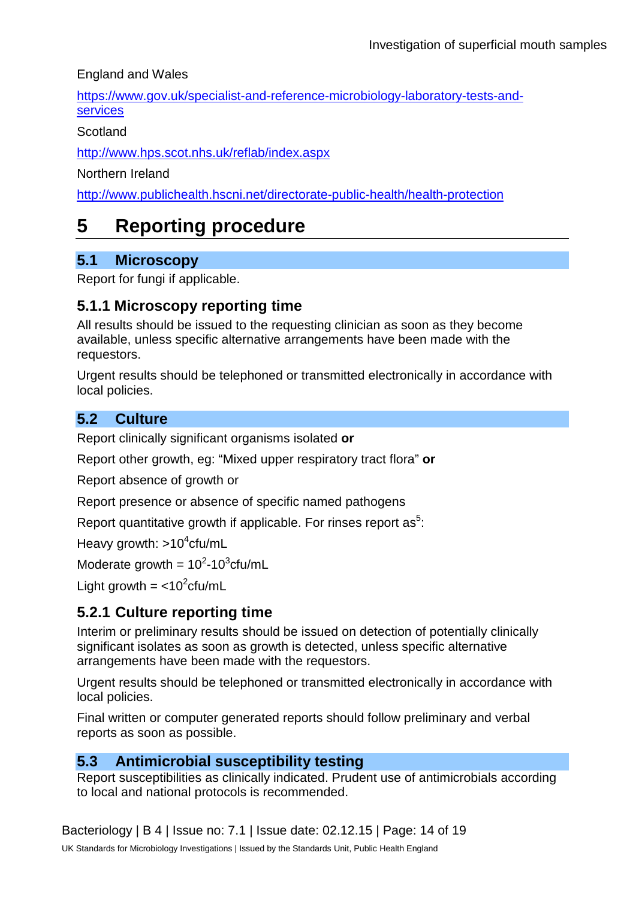England and Wales

[https://www.gov.uk/specialist-and-reference-microbiology-laboratory-tests-and](https://www.gov.uk/specialist-and-reference-microbiology-laboratory-tests-and-services)[services](https://www.gov.uk/specialist-and-reference-microbiology-laboratory-tests-and-services)

**Scotland** 

<http://www.hps.scot.nhs.uk/reflab/index.aspx>

Northern Ireland

<http://www.publichealth.hscni.net/directorate-public-health/health-protection>

### **5 Reporting procedure**

### **5.1 Microscopy**

Report for fungi if applicable.

#### **5.1.1 Microscopy reporting time**

All results should be issued to the requesting clinician as soon as they become available, unless specific alternative arrangements have been made with the requestors.

Urgent results should be telephoned or transmitted electronically in accordance with local policies.

### **5.2 Culture**

Report clinically significant organisms isolated **or**

Report other growth, eg: "Mixed upper respiratory tract flora" **or**

Report absence of growth or

Report presence or absence of specific named pathogens

Report quantitative growth if applicable. For rinses report as<sup>5</sup>:

Heavy growth: >10<sup>4</sup>cfu/mL

Moderate growth =  $10^2$ -10<sup>3</sup>cfu/mL

Light growth  $=$  <10<sup>2</sup> cfu/mL

### **5.2.1 Culture reporting time**

Interim or preliminary results should be issued on detection of potentially clinically significant isolates as soon as growth is detected, unless specific alternative arrangements have been made with the requestors.

Urgent results should be telephoned or transmitted electronically in accordance with local policies.

Final written or computer generated reports should follow preliminary and verbal reports as soon as possible.

### **5.3 Antimicrobial susceptibility testing**

Report susceptibilities as clinically indicated. Prudent use of antimicrobials according to local and national protocols is recommended.

Bacteriology | B 4 | Issue no: 7.1 | Issue date: 02.12.15 | Page: 14 of 19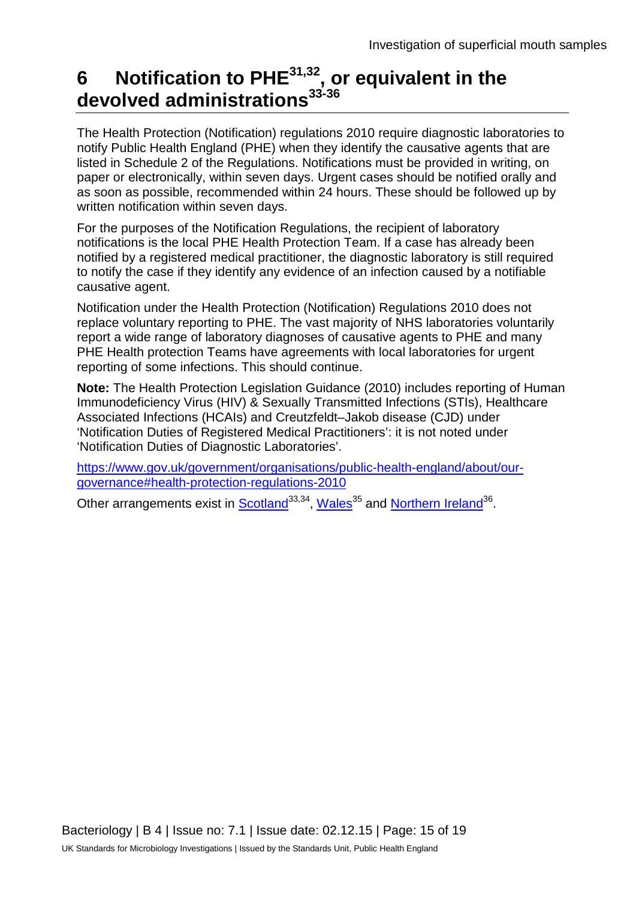## **6 Notification to PHE31,32 , or equivalent in the devolved administrations33-36**

The Health Protection (Notification) regulations 2010 require diagnostic laboratories to notify Public Health England (PHE) when they identify the causative agents that are listed in Schedule 2 of the Regulations. Notifications must be provided in writing, on paper or electronically, within seven days. Urgent cases should be notified orally and as soon as possible, recommended within 24 hours. These should be followed up by written notification within seven days.

For the purposes of the Notification Regulations, the recipient of laboratory notifications is the local PHE Health Protection Team. If a case has already been notified by a registered medical practitioner, the diagnostic laboratory is still required to notify the case if they identify any evidence of an infection caused by a notifiable causative agent.

Notification under the Health Protection (Notification) Regulations 2010 does not replace voluntary reporting to PHE. The vast majority of NHS laboratories voluntarily report a wide range of laboratory diagnoses of causative agents to PHE and many PHE Health protection Teams have agreements with local laboratories for urgent reporting of some infections. This should continue.

**Note:** The Health Protection Legislation Guidance (2010) includes reporting of Human Immunodeficiency Virus (HIV) & Sexually Transmitted Infections (STIs), Healthcare Associated Infections (HCAIs) and Creutzfeldt–Jakob disease (CJD) under 'Notification Duties of Registered Medical Practitioners': it is not noted under 'Notification Duties of Diagnostic Laboratories'.

[https://www.gov.uk/government/organisations/public-health-england/about/our](https://www.gov.uk/government/organisations/public-health-england/about/our-governance#health-protection-regulations-2010)[governance#health-protection-regulations-2010](https://www.gov.uk/government/organisations/public-health-england/about/our-governance#health-protection-regulations-2010)

Other arrangements exist in **Scotland**<sup>33,34</sup>, Wales<sup>35</sup> and [Northern Ireland](http://www.publichealth.hscni.net/directorate-public-health/health-protection)<sup>36</sup>.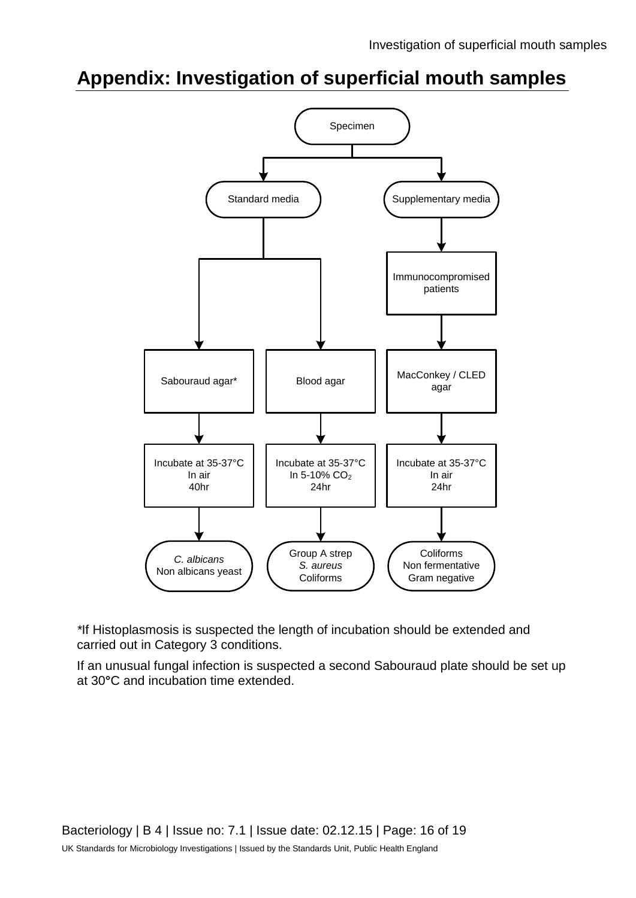## **Appendix: Investigation of superficial mouth samples**



*\**If Histoplasmosis is suspected the length of incubation should be extended and carried out in Category 3 conditions.

If an unusual fungal infection is suspected a second Sabouraud plate should be set up at 30**°**C and incubation time extended.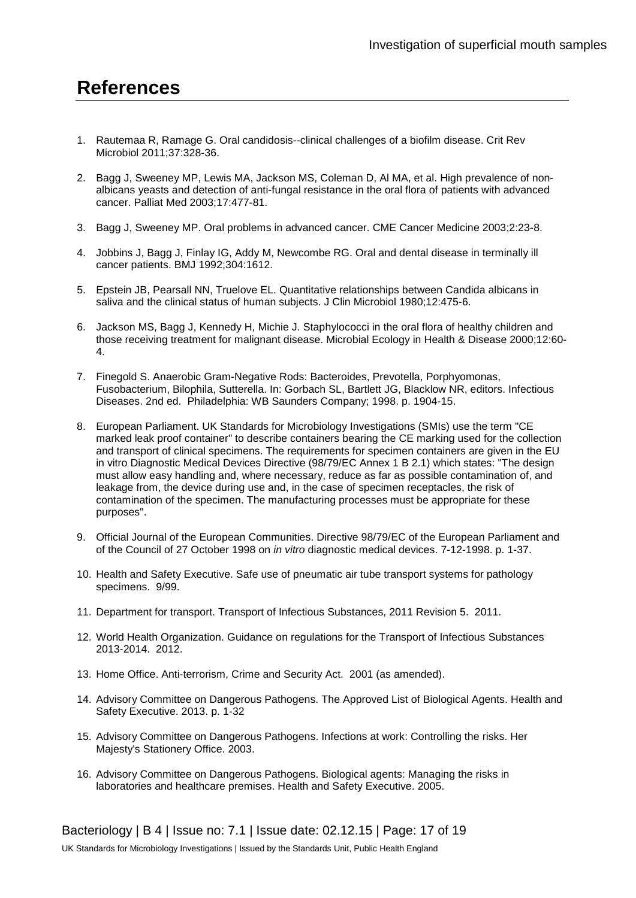### **References**

- 1. Rautemaa R, Ramage G. Oral candidosis--clinical challenges of a biofilm disease. Crit Rev Microbiol 2011;37:328-36.
- 2. Bagg J, Sweeney MP, Lewis MA, Jackson MS, Coleman D, Al MA, et al. High prevalence of nonalbicans yeasts and detection of anti-fungal resistance in the oral flora of patients with advanced cancer. Palliat Med 2003;17:477-81.
- 3. Bagg J, Sweeney MP. Oral problems in advanced cancer. CME Cancer Medicine 2003;2:23-8.
- 4. Jobbins J, Bagg J, Finlay IG, Addy M, Newcombe RG. Oral and dental disease in terminally ill cancer patients. BMJ 1992;304:1612.
- 5. Epstein JB, Pearsall NN, Truelove EL. Quantitative relationships between Candida albicans in saliva and the clinical status of human subjects. J Clin Microbiol 1980;12:475-6.
- 6. Jackson MS, Bagg J, Kennedy H, Michie J. Staphylococci in the oral flora of healthy children and those receiving treatment for malignant disease. Microbial Ecology in Health & Disease 2000;12:60- 4.
- 7. Finegold S. Anaerobic Gram-Negative Rods: Bacteroides, Prevotella, Porphyomonas, Fusobacterium, Bilophila, Sutterella. In: Gorbach SL, Bartlett JG, Blacklow NR, editors. Infectious Diseases. 2nd ed. Philadelphia: WB Saunders Company; 1998. p. 1904-15.
- 8. European Parliament. UK Standards for Microbiology Investigations (SMIs) use the term "CE marked leak proof container" to describe containers bearing the CE marking used for the collection and transport of clinical specimens. The requirements for specimen containers are given in the EU in vitro Diagnostic Medical Devices Directive (98/79/EC Annex 1 B 2.1) which states: "The design must allow easy handling and, where necessary, reduce as far as possible contamination of, and leakage from, the device during use and, in the case of specimen receptacles, the risk of contamination of the specimen. The manufacturing processes must be appropriate for these purposes".
- 9. Official Journal of the European Communities. Directive 98/79/EC of the European Parliament and of the Council of 27 October 1998 on *in vitro* diagnostic medical devices. 7-12-1998. p. 1-37.
- 10. Health and Safety Executive. Safe use of pneumatic air tube transport systems for pathology specimens. 9/99.
- 11. Department for transport. Transport of Infectious Substances, 2011 Revision 5. 2011.
- 12. World Health Organization. Guidance on regulations for the Transport of Infectious Substances 2013-2014. 2012.
- 13. Home Office. Anti-terrorism, Crime and Security Act. 2001 (as amended).
- 14. Advisory Committee on Dangerous Pathogens. The Approved List of Biological Agents. Health and Safety Executive. 2013. p. 1-32
- 15. Advisory Committee on Dangerous Pathogens. Infections at work: Controlling the risks. Her Majesty's Stationery Office. 2003.
- 16. Advisory Committee on Dangerous Pathogens. Biological agents: Managing the risks in laboratories and healthcare premises. Health and Safety Executive. 2005.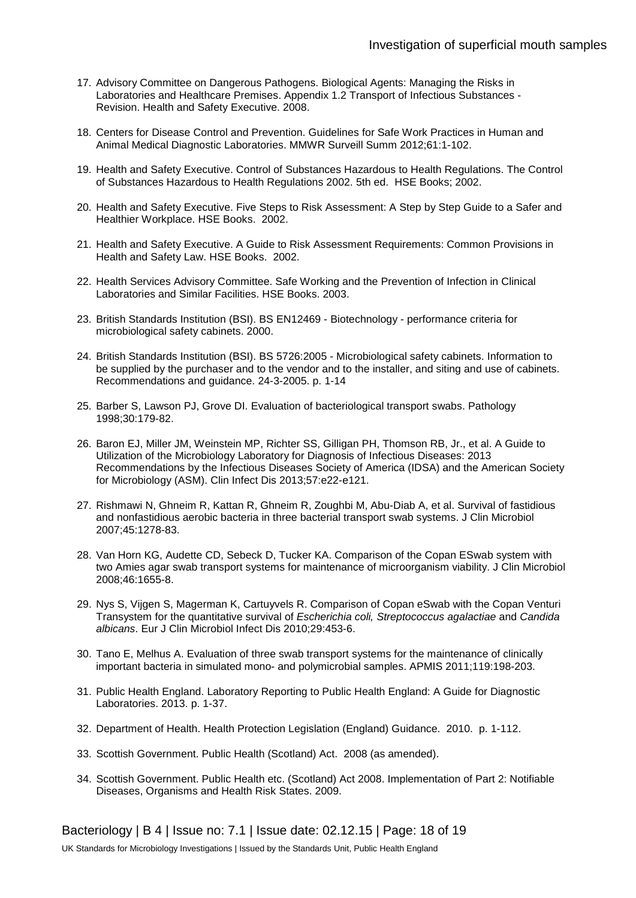- 17. Advisory Committee on Dangerous Pathogens. Biological Agents: Managing the Risks in Laboratories and Healthcare Premises. Appendix 1.2 Transport of Infectious Substances - Revision. Health and Safety Executive. 2008.
- 18. Centers for Disease Control and Prevention. Guidelines for Safe Work Practices in Human and Animal Medical Diagnostic Laboratories. MMWR Surveill Summ 2012;61:1-102.
- 19. Health and Safety Executive. Control of Substances Hazardous to Health Regulations. The Control of Substances Hazardous to Health Regulations 2002. 5th ed. HSE Books; 2002.
- 20. Health and Safety Executive. Five Steps to Risk Assessment: A Step by Step Guide to a Safer and Healthier Workplace. HSE Books. 2002.
- 21. Health and Safety Executive. A Guide to Risk Assessment Requirements: Common Provisions in Health and Safety Law. HSE Books. 2002.
- 22. Health Services Advisory Committee. Safe Working and the Prevention of Infection in Clinical Laboratories and Similar Facilities. HSE Books. 2003.
- 23. British Standards Institution (BSI). BS EN12469 Biotechnology performance criteria for microbiological safety cabinets. 2000.
- 24. British Standards Institution (BSI). BS 5726:2005 Microbiological safety cabinets. Information to be supplied by the purchaser and to the vendor and to the installer, and siting and use of cabinets. Recommendations and guidance. 24-3-2005. p. 1-14
- 25. Barber S, Lawson PJ, Grove DI. Evaluation of bacteriological transport swabs. Pathology 1998;30:179-82.
- 26. Baron EJ, Miller JM, Weinstein MP, Richter SS, Gilligan PH, Thomson RB, Jr., et al. A Guide to Utilization of the Microbiology Laboratory for Diagnosis of Infectious Diseases: 2013 Recommendations by the Infectious Diseases Society of America (IDSA) and the American Society for Microbiology (ASM). Clin Infect Dis 2013;57:e22-e121.
- 27. Rishmawi N, Ghneim R, Kattan R, Ghneim R, Zoughbi M, Abu-Diab A, et al. Survival of fastidious and nonfastidious aerobic bacteria in three bacterial transport swab systems. J Clin Microbiol 2007;45:1278-83.
- 28. Van Horn KG, Audette CD, Sebeck D, Tucker KA. Comparison of the Copan ESwab system with two Amies agar swab transport systems for maintenance of microorganism viability. J Clin Microbiol 2008;46:1655-8.
- 29. Nys S, Vijgen S, Magerman K, Cartuyvels R. Comparison of Copan eSwab with the Copan Venturi Transystem for the quantitative survival of *Escherichia coli, Streptococcus agalactiae* and *Candida albicans*. Eur J Clin Microbiol Infect Dis 2010;29:453-6.
- 30. Tano E, Melhus A. Evaluation of three swab transport systems for the maintenance of clinically important bacteria in simulated mono- and polymicrobial samples. APMIS 2011;119:198-203.
- 31. Public Health England. Laboratory Reporting to Public Health England: A Guide for Diagnostic Laboratories. 2013. p. 1-37.
- 32. Department of Health. Health Protection Legislation (England) Guidance. 2010. p. 1-112.
- 33. Scottish Government. Public Health (Scotland) Act. 2008 (as amended).
- 34. Scottish Government. Public Health etc. (Scotland) Act 2008. Implementation of Part 2: Notifiable Diseases, Organisms and Health Risk States. 2009.

Bacteriology | B 4 | Issue no: 7.1 | Issue date: 02.12.15 | Page: 18 of 19